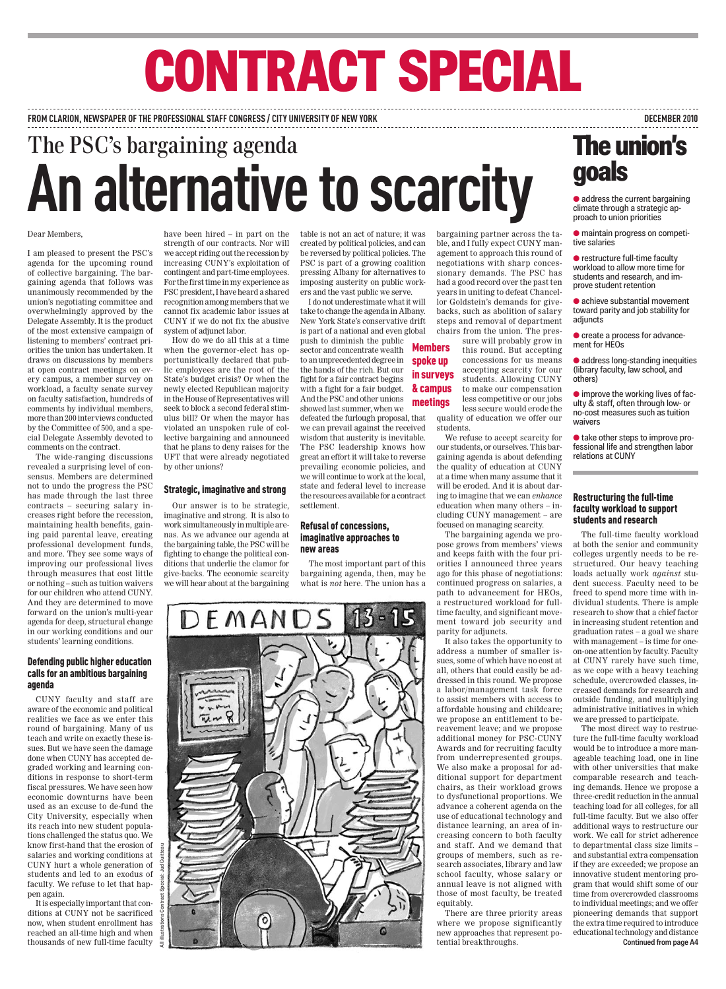# **Contract Special**

**from clarion, Newspaper of the professional Staff Congress / City University of New York December 2010**

# The PSC's bargaining agenda **An alternative to scarcity**

### Dear Members,

I am pleased to present the PSC's agenda for the upcoming round of collective bargaining. The bargaining agenda that follows was unanimously recommended by the union's negotiating committee and overwhelmingly approved by the Delegate Assembly. It is the product of the most extensive campaign of listening to members' contract priorities the union has undertaken. It draws on discussions by members at open contract meetings on every campus, a member survey on workload, a faculty senate survey on faculty satisfaction, hundreds of comments by individual members, more than 200 interviews conducted by the Committee of 500, and a special Delegate Assembly devoted to comments on the contract.

The wide-ranging discussions revealed a surprising level of consensus. Members are determined not to undo the progress the PSC has made through the last three contracts – securing salary increases right before the recession, maintaining health benefits, gaining paid parental leave, creating professional development funds, and more. They see some ways of improving our professional lives through measures that cost little or nothing – such as tuition waivers for our children who attend CUNY. And they are determined to move forward on the union's multi-year agenda for deep, structural change in our working conditions and our students' learning conditions.

### Defending public higher education calls for an ambitious bargaining agenda

CUNY faculty and staff are aware of the economic and political realities we face as we enter this round of bargaining. Many of us teach and write on exactly these issues. But we have seen the damage done when CUNY has accepted degraded working and learning conditions in response to short-term fiscal pressures. We have seen how economic downturns have been used as an excuse to de-fund the City University, especially when its reach into new student populations challenged the status quo. We know first-hand that the erosion of salaries and working conditions at CUNY hurt a whole generation of students and led to an exodus of faculty. We refuse to let that happen again.

It is especially important that conditions at CUNY not be sacrificed now, when student enrollment has reached an all-time high and when thousands of new full-time faculty

have been hired – in part on the strength of our contracts. Nor will we accept riding out the recession by increasing CUNY's exploitation of contingent and part-time employees. For the first time in my experience as PSC president, I have heard a shared recognition among members that we cannot fix academic labor issues at CUNY if we do not fix the abusive system of adjunct labor.

How do we do all this at a time when the governor-elect has opportunistically declared that public employees are the root of the State's budget crisis? Or when the newly elected Republican majority in the House of Representatives will seek to block a second federal stimulus bill? Or when the mayor has violated an unspoken rule of collective bargaining and announced that he plans to deny raises for the UFT that were already negotiated by other unions?

### Strategic, imaginative and strong

Our answer is to be strategic, imaginative and strong. It is also to work simultaneously in multiple arenas. As we advance our agenda at the bargaining table, the PSC will be fighting to change the political conditions that underlie the clamor for give-backs. The economic scarcity we will hear about at the bargaining table is not an act of nature; it was created by political policies, and can be reversed by political policies. The PSC is part of a growing coalition pressing Albany for alternatives to imposing austerity on public workers and the vast public we serve.

I do not underestimate what it will take to change the agenda in Albany. New York State's conservative drift is part of a national and even global

push to diminish the public sector and concentrate wealth to an unprecedented degree in the hands of the rich. But our fight for a fair contract begins with a fight for a fair budget. And the PSC and other unions showed last summer, when we defeated the furlough proposal, that we can prevail against the received wisdom that austerity is inevitable. The PSC leadership knows how great an effort it will take to reverse prevailing economic policies, and we will continue to work at the local, state and federal level to increase the resources available for a contract settlement. **Members** spoke up meetings

### Refusal of concessions, imaginative approaches to new areas

The most important part of this bargaining agenda, then, may be what is *not* here. The union has a bargaining partner across the table, and I fully expect CUNY management to approach this round of negotiations with sharp concessionary demands. The PSC has had a good record over the past ten years in uniting to defeat Chancellor Goldstein's demands for givebacks, such as abolition of salary steps and removal of department chairs from the union. The pres-

sure will probably grow in this round. But accepting concessions for us means accepting scarcity for our students. Allowing CUNY to make our compensation less competitive or our jobs less secure would erode the quality of education we offer our students. in surveys & campus

> We refuse to accept scarcity for our students, or ourselves. This bargaining agenda is about defending the quality of education at CUNY at a time when many assume that it will be eroded. And it is about daring to imagine that we can *enhance* education when many others – including CUNY management – are focused on managing scarcity.

> The bargaining agenda we propose grows from members' views and keeps faith with the four priorities I announced three years ago for this phase of negotiations: continued progress on salaries, a path to advancement for HEOs, a restructured workload for fulltime faculty, and significant movement toward job security and parity for adjuncts.

> It also takes the opportunity to address a number of smaller issues, some of which have no cost at all, others that could easily be addressed in this round. We propose a labor/management task force to assist members with access to affordable housing and childcare; we propose an entitlement to bereavement leave; and we propose additional money for PSC-CUNY Awards and for recruiting faculty from underrepresented groups. We also make a proposal for additional support for department chairs, as their workload grows to dysfunctional proportions. We advance a coherent agenda on the use of educational technology and distance learning, an area of increasing concern to both faculty and staff. And we demand that groups of members, such as research associates, library and law school faculty, whose salary or annual leave is not aligned with those of most faculty, be treated equitably.

> There are three priority areas where we propose significantly new approaches that represent potential breakthroughs.

## **The union's goals**

● *address the current bargaining climate through a strategic ap proach to union priorities*

● *maintain progress on competi tive salaries*

● *restructure full-time faculty workload to allow more time for students and research, and im prove student retention*

● *achieve substantial movement toward parity and job stability for adjuncts*

● *create a process for advance ment for HEOs*

● *address long-standing inequities (library faculty, law school, and others)*

● *improve the working lives of fac ulty & staff, often through low- or no-cost measures such as tuition waivers*

● *take other steps to improve professional life and strengthen labor relations at CUNY*

### Restructuring the full-time faculty workload to support students and research

The full-time faculty workload at both the senior and community colleges urgently needs to be restructured. Our heavy teaching loads actually work *against* student success. Faculty need to be freed to spend more time with individual students. There is ample research to show that a chief factor in increasing student retention and graduation rates – a goal we share with management – is time for oneon-one attention by faculty. Faculty at CUNY rarely have such time, as we cope with a heavy teaching schedule, overcrowded classes, increased demands for research and outside funding, and multiplying administrative initiatives in which we are pressed to participate.

The most direct way to restructure the full-time faculty workload would be to introduce a more manageable teaching load, one in line with other universities that make comparable research and teaching demands. Hence we propose a three-credit reduction in the annual teaching load for all colleges, for all full-time faculty. But we also offer additional ways to restructure our work. We call for strict adherence to departmental class size limits – and substantial extra compensation if they are exceeded; we propose an innovative student mentoring program that would shift some of our time from overcrowded classrooms to individual meetings; and we offer pioneering demands that support the extra time required to introduce educational technology and distance **Continued from page A4**

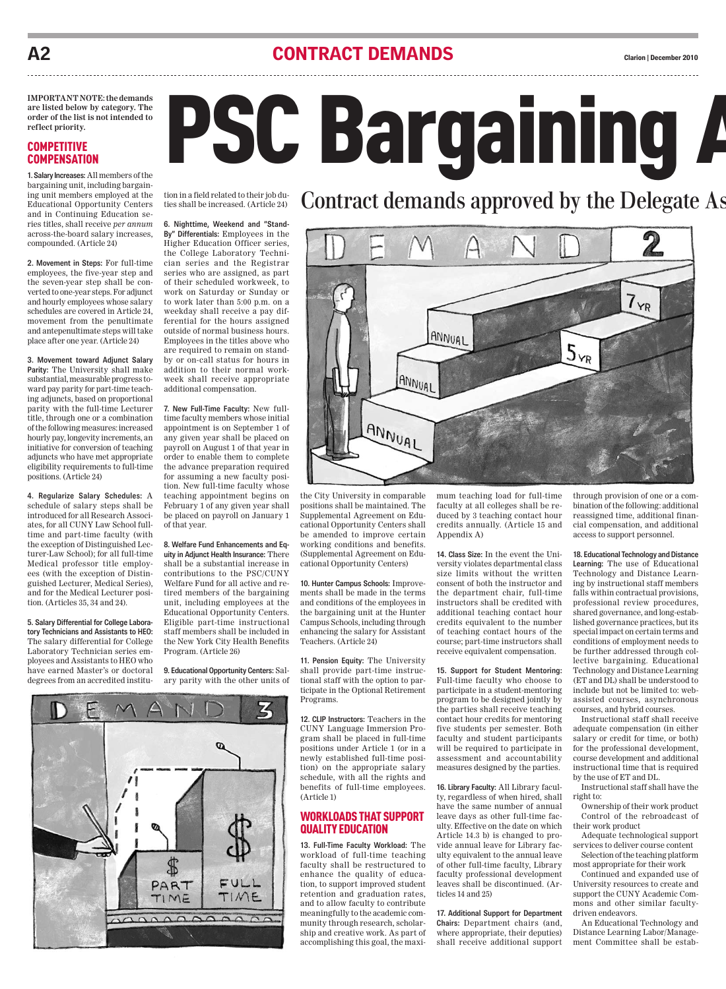### A2 **CONTRACT DEMANDS CONTRACT CLARIFY CLARIFY CLARIFY CLARIFY Clarion** | December 2010

**IMPORTANT NOTE: the demands are listed below by category. The order of the list is not intended to reflect priority.**

### **COMPETITIVE COMPENSATION**

**1. Salary Increases:** All members of the bargaining unit, including bargaining unit members employed at the Educational Opportunity Centers and in Continuing Education series titles, shall receive *per annum* across-the-board salary increases, compounded. (Article 24)

**2. Movement in Steps:** For full-time employees, the five**-**year step and the seven-year step shall be converted to one-year steps. For adjunct and hourly employees whose salary schedules are covered in Article 24, movement from the penultimate and antepenultimate steps will take place after one year. (Article 24)

**3. Movement toward Adjunct Salary Parity:** The University shall make substantial, measurable progress toward pay parity for part-time teaching adjuncts, based on proportional parity with the full-time Lecturer title, through one or a combination of the following measures: increased hourly pay, longevity increments, an initiative for conversion of teaching adjuncts who have met appropriate eligibility requirements to full-time positions. (Article 24)

**4. Regularize Salary Schedules:** A schedule of salary steps shall be introduced for all Research Associates, for all CUNY Law School fulltime and part-time faculty (with the exception of Distinguished Lecturer-Law School); for all full-time Medical professor title employees (with the exception of Distinguished Lecturer, Medical Series), and for the Medical Lecturer position. (Articles 35, 34 and 24).

**5. Salary Differential for College Laboratory Technicians and Assistants to HEO:** The salary differential for College Laboratory Technician series employees and Assistants to HEO who have earned Master's or doctoral degrees from an accredited institution in a field related to their job duties shall be increased. (Article 24)

**6. Nighttime, Weekend and "Stand-By" Differentials:** Employees in the

Higher Education Officer series, the College Laboratory Technician series and the Registrar series who are assigned, as part of their scheduled workweek, to work on Saturday or Sunday or to work later than 5:00 p.m. on a weekday shall receive a pay differential for the hours assigned outside of normal business hours. Employees in the titles above who are required to remain on standby or on-call status for hours in addition to their normal workweek shall receive appropriate additional compensation.

**7. New Full-Time Faculty:** New fulltime faculty members whose initial appointment is on September 1 of any given year shall be placed on payroll on August 1 of that year in order to enable them to complete the advance preparation required for assuming a new faculty position. New full-time faculty whose teaching appointment begins on February 1 of any given year shall be placed on payroll on January 1 of that year.

**8. Welfare Fund Enhancements and Equity in Adjunct Health Insurance:** There shall be a substantial increase in contributions to the PSC/CUNY Welfare Fund for all active and retired members of the bargaining unit, including employees at the Educational Opportunity Centers. Eligible part-time instructional staff members shall be included in the New York City Health Benefits Program. (Article 26)

**9. Educational Opportunity Centers:** Salary parity with the other units of

Contract demands approved by the Delegate As

PSC Bargaining A



the City University in comparable positions shall be maintained. The Supplemental Agreement on Educational Opportunity Centers shall be amended to improve certain working conditions and benefits. (Supplemental Agreement on Educational Opportunity Centers)

**10. Hunter Campus Schools:** Improvements shall be made in the terms and conditions of the employees in the bargaining unit at the Hunter Campus Schools, including through enhancing the salary for Assistant Teachers. (Article 24)

**11. Pension Equity:** The University shall provide part-time instructional staff with the option to participate in the Optional Retirement Programs.

**12. CLIP Instructors:** Teachers in the CUNY Language Immersion Program shall be placed in full-time positions under Article 1 (or in a newly established full-time position) on the appropriate salary schedule, with all the rights and benefits of full-time employees. (Article 1)

### Workloads that Support Quality Education

**13. Full-Time Faculty Workload:** The workload of full-time teaching faculty shall be restructured to enhance the quality of education, to support improved student retention and graduation rates, and to allow faculty to contribute meaningfully to the academic community through research, scholarship and creative work. As part of accomplishing this goal, the maximum teaching load for full-time faculty at all colleges shall be reduced by 3 teaching contact hour credits annually. (Article 15 and Appendix A)

**14. Class Size:** In the event the University violates departmental class size limits without the written consent of both the instructor and the department chair, full-time instructors shall be credited with additional teaching contact hour credits equivalent to the number of teaching contact hours of the course; part-time instructors shall receive equivalent compensation.

**15. Support for Student Mentoring:**  Full-time faculty who choose to participate in a student-mentoring program to be designed jointly by the parties shall receive teaching contact hour credits for mentoring five students per semester. Both faculty and student participants will be required to participate in assessment and accountability measures designed by the parties.

**16. Library Faculty:** All Library faculty, regardless of when hired, shall have the same number of annual leave days as other full-time faculty. Effective on the date on which Article 14.3 b) is changed to provide annual leave for Library faculty equivalent to the annual leave of other full-time faculty, Library faculty professional development leaves shall be discontinued. (Articles 14 and 25)

**17. Additional Support for Department Chairs:** Department chairs (and, where appropriate, their deputies) shall receive additional support through provision of one or a combination of the following: additional reassigned time, additional financial compensation, and additional access to support personnel.

**18. Educational Technology and Distance Learning:** The use of Educational Technology and Distance Learning by instructional staff members falls within contractual provisions, professional review procedures, shared governance, and long-established governance practices, but its special impact on certain terms and conditions of employment needs to be further addressed through collective bargaining. Educational Technology and Distance Learning (ET and DL) shall be understood to include but not be limited to: webassisted courses, asynchronous courses, and hybrid courses.

Instructional staff shall receive adequate compensation (in either salary or credit for time, or both) for the professional development, course development and additional instructional time that is required by the use of ET and DL.

Instructional staff shall have the right to:

Ownership of their work product Control of the rebroadcast of their work product

Adequate technological support services to deliver course content Selection of the teaching platform most appropriate for their work

Continued and expanded use of University resources to create and support the CUNY Academic Commons and other similar facultydriven endeavors.

An Educational Technology and Distance Learning Labor/Management Committee shall be estab-

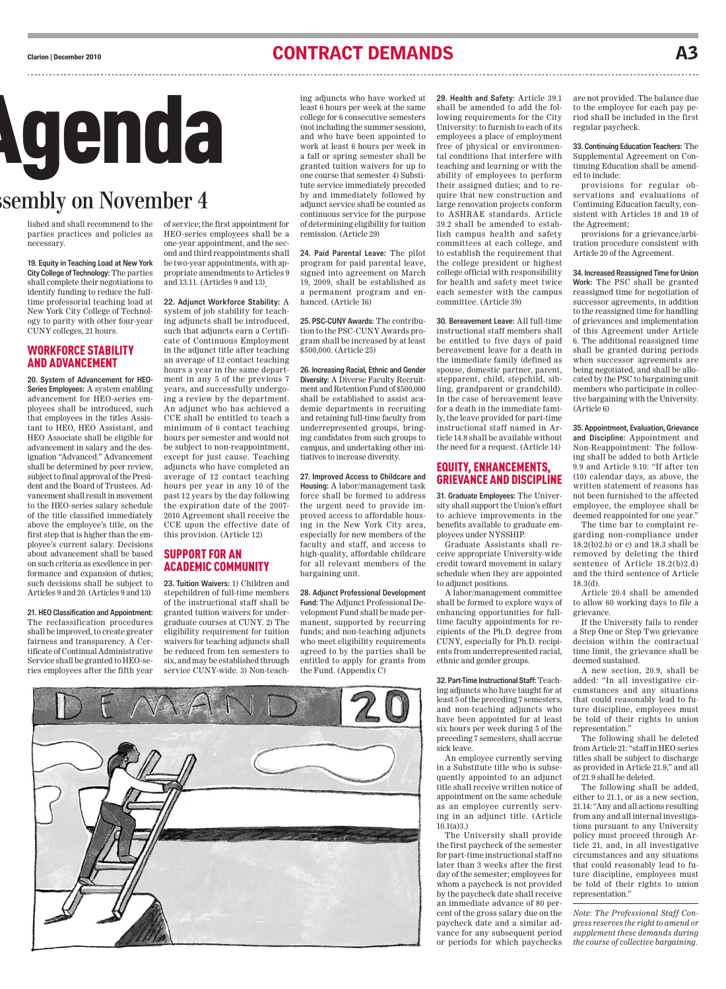### CONTRACT DEMANDS Carion | December 2010



## sembly on November 4

lished and shall recommend to the parties practices and policies as necessary.

**19. Equity in Teaching Load at New York City College of Technology:** The parties shall complete their negotiations to identify funding to reduce the fulltime professorial teaching load at New York City College of Technology to parity with other four-year CUNY colleges, 21 hours.

### Workforce Stability and Advancement

**20. System of Advancement for HEO-Series Employees:** A system enabling advancement for HEO-series employees shall be introduced, such that employees in the titles Assistant to HEO, HEO Assistant, and HEO Associate shall be eligible for advancement in salary and the designation "Advanced." Advancement shall be determined by peer review, subject to final approval of the President and the Board of Trustees. Advancement shall result in movement to the HEO-series salary schedule of the title classified immediately above the employee's title, on the first step that is higher than the employee's current salary. Decisions about advancement shall be based on such criteria as excellence in performance and expansion of duties; such decisions shall be subject to Articles 9 and 20. (Articles 9 and 13)

**21. HEO Classification and Appointment:** The reclassification procedures shall be improved, to create greater fairness and transparency. A Certificate of Continual Administrative Service shall be granted to HEO-series employees after the fifth year

of service; the first appointment for HEO-series employees shall be a one-year appointment, and the second and third reappointments shall be two-year appointments, with appropriate amendments to Articles 9 and 13.11. (Articles 9 and 13)

**22. Adjunct Workforce Stability:** A system of job stability for teaching adjuncts shall be introduced, such that adjuncts earn a Certificate of Continuous Employment in the adjunct title after teaching an average of 12 contact teaching hours a year in the same department in any 5 of the previous 7 years, and successfully undergoing a review by the department. An adjunct who has achieved a CCE shall be entitled to teach a minimum of 6 contact teaching hours per semester and would not be subject to non-reappointment, except for just cause. Teaching adjuncts who have completed an average of 12 contact teaching hours per year in any 10 of the past 12 years by the day following the expiration date of the 2007- 2010 Agreement shall receive the CCE upon the effective date of this provision. (Article 12)

### Support for an Academic Community

**23. Tuition Waivers:** 1) Children and stepchildren of full-time members of the instructional staff shall be granted tuition waivers for undergraduate courses at CUNY. 2) The eligibility requirement for tuition waivers for teaching adjuncts shall be reduced from ten semesters to six, and may be established through service CUNY-wide. 3) Non-teach-

ing adjuncts who have worked at least 6 hours per week at the same college for 6 consecutive semesters (not including the summer session), and who have been appointed to work at least 6 hours per week in a fall or spring semester shall be granted tuition waivers for up to one course that semester. 4) Substitute service immediately preceded by and immediately followed by adjunct service shall be counted as continuous service for the purpose of determining eligibility for tuition remission. (Article 29)

**24. Paid Parental Leave:** The pilot program for paid parental leave, signed into agreement on March 19, 2009, shall be established as a permanent program and enhanced. (Article 16)

**25. PSC-CUNY Awards:** The contribution to the PSC-CUNY Awards program shall be increased by at least \$500,000. (Article 25)

**26. Increasing Racial, Ethnic and Gender Diversity:** A Diverse Faculty Recruitment and Retention Fund of \$500,000 shall be established to assist academic departments in recruiting and retaining full-time faculty from underrepresented groups, bringing candidates from such groups to campus, and undertaking other initiatives to increase diversity.

**27. Improved Access to Childcare and Housing:** A labor/management task force shall be formed to address the urgent need to provide im-

agreed to by the parties shall be entitled to apply for grants from the Fund. (Appendix C)



**29. Health and Safety:** Article 39.1 shall be amended to add the following requirements for the City University: to furnish to each of its employees a place of employment free of physical or environmental conditions that interfere with teaching and learning or with the ability of employees to perform their assigned duties; and to require that new construction and large renovation projects conform to ASHRAE standards. Article 39.2 shall be amended to establish campus health and safety committees at each college, and to establish the requirement that the college president or highest college official with responsibility for health and safety meet twice each semester with the campus committee. (Article 39)

**30. Bereavement Leave:** All full-time instructional staff members shall be entitled to five days of paid bereavement leave for a death in the immediate family (defined as spouse, domestic partner, parent, stepparent, child, stepchild, sibling, grandparent or grandchild). In the case of bereavement leave for a death in the immediate family, the leave provided for part-time instructional staff named in Article 14.8 shall be available without the need for a request. (Article 14)

### Equity, Enhancements, Grievance and Discipline

**31. Graduate Employees:** The University shall support the Union's effort to achieve improvements in the benefits available to graduate employees under NYSSHIP.

Graduate Assistants shall receive appropriate University-wide credit toward movement in salary schedule when they are appointed to adjunct positions.

A labor/management committee shall be formed to explore ways of enhancing opportunities for fulltime faculty appointments for recipients of the Ph.D. degree from CUNY, especially for Ph.D. recipients from underrepresented racial, ethnic and gender groups.

**32. Part-Time Instructional Staff:** Teaching adjuncts who have taught for at least 5 of the preceding 7 semesters, and non-teaching adjuncts who have been appointed for at least six hours per week during 5 of the preceding 7 semesters, shall accrue sick leave.

An employee currently serving in a Substitute title who is subsequently appointed to an adjunct title shall receive written notice of appointment on the same schedule as an employee currently serving in an adjunct title. (Article 10.1(a)3.)

The University shall provide the first paycheck of the semester for part-time instructional staff no later than 3 weeks after the first day of the semester; employees for whom a paycheck is not provided by the paycheck date shall receive an immediate advance of 80 percent of the gross salary due on the paycheck date and a similar advance for any subsequent period or periods for which paychecks

are not provided. The balance due to the employee for each pay period shall be included in the first regular paycheck.

**33. Continuing Education Teachers:** The Supplemental Agreement on Continuing Education shall be amended to include:

provisions for regular observations and evaluations of Continuing Education faculty, consistent with Articles 18 and 19 of the Agreement;

provisions for a grievance/arbitration procedure consistent with Article 20 of the Agreement.

**34. Increased Reassigned Time for Union Work:** The PSC shall be granted reassigned time for negotiation of successor agreements, in addition to the reassigned time for handling of grievances and implementation of this Agreement under Article 6. The additional reassigned time shall be granted during periods when successor agreements are being negotiated, and shall be allocated by the PSC to bargaining unit members who participate in collective bargaining with the University. (Article 6)

**35. Appointment, Evaluation, Grievance and Discipline:** Appointment and Non-Reappointment: The following shall be added to both Article 9.9 and Article 9.10: "If after ten (10) calendar days, as above, the written statement of reasons has not been furnished to the affected employee, the employee shall be deemed reappointed for one year."

The time bar to complaint regarding non-compliance under 18.2(b)2.b) or c) and 18.3 shall be removed by deleting the third sentence of Article 18.2(b)2.d) and the third sentence of Article 18.3(d).

Article 20.4 shall be amended to allow 60 working days to file a grievance.

If the University fails to render a Step One or Step Two grievance decision within the contractual time limit, the grievance shall be deemed sustained.

A new section, 20.9, shall be added: "In all investigative circumstances and any situations that could reasonably lead to future discipline, employees must be told of their rights to union representation."

The following shall be deleted from Article 21: "staff in HEO series titles shall be subject to discharge as provided in Article 21.9," and all of 21.9 shall be deleted.

The following shall be added, either to 21.1, or as a new section, 21.14: "Any and all actions resulting from any and all internal investigations pursuant to any University policy must proceed through Article 21, and, in all investigative circumstances and any situations that could reasonably lead to future discipline, employees must be told of their rights to union representation."

*Note: The Professional Staff Congress reserves the right to amend or supplement these demands during the course of collective bargaining.*